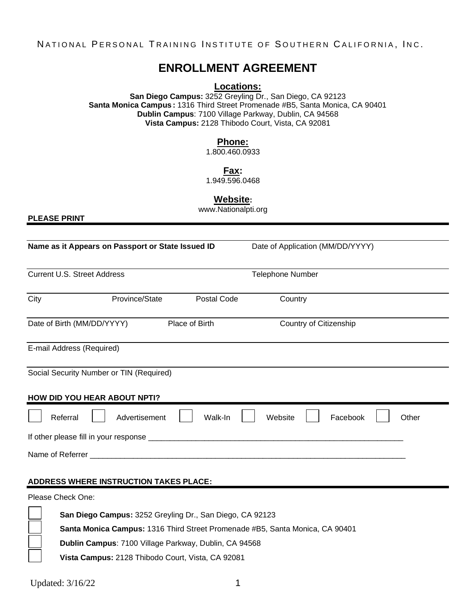# **ENROLLMENT AGREEMENT**

**Locations:**

**San Diego Campus:** 3252 Greyling Dr., San Diego, CA 92123 **Santa Monica Campus:** 1316 Third Street Promenade #B5, Santa Monica, CA 90401 **Dublin Campus**: 7100 Village Parkway, Dublin, CA 94568 **Vista Campus:** 2128 Thibodo Court, Vista, CA 92081

### **Phone:**

1.800.460.0933

**Fax:**

1.949.596.0468

**Website:**

www.Nationalpti.org

**PLEASE PRINT**

| Name as it Appears on Passport or State Issued ID |                | Date of Application (MM/DD/YYYY) |                        |       |
|---------------------------------------------------|----------------|----------------------------------|------------------------|-------|
| <b>Current U.S. Street Address</b>                |                | <b>Telephone Number</b>          |                        |       |
| City<br>Province/State                            | Postal Code    | Country                          |                        |       |
| Date of Birth (MM/DD/YYYY)                        | Place of Birth |                                  | Country of Citizenship |       |
| E-mail Address (Required)                         |                |                                  |                        |       |
| Social Security Number or TIN (Required)          |                |                                  |                        |       |
| HOW DID YOU HEAR ABOUT NPTI?                      |                |                                  |                        |       |
| Referral<br>Advertisement                         | Walk-In        | Website                          | Facebook               | Other |
|                                                   |                |                                  |                        |       |
|                                                   |                |                                  |                        |       |
| <b>ADDRESS WHERE INSTRUCTION TAKES PLACE:</b>     |                |                                  |                        |       |

Please Check One:

| <b>San Diego Campus:</b> 3252 Greyling Dr., San Diego, CA 92123              |
|------------------------------------------------------------------------------|
| Santa Monica Campus: 1316 Third Street Promenade #B5, Santa Monica, CA 90401 |
| Dublin Campus: 7100 Village Parkway, Dublin, CA 94568                        |
| Vista Campus: 2128 Thibodo Court, Vista, CA 92081                            |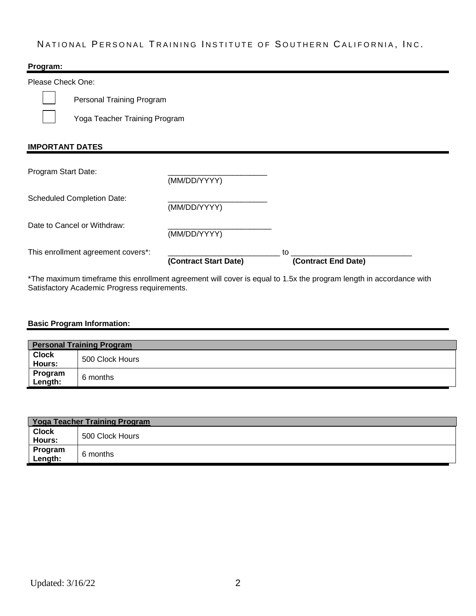### **Program:**

Please Check One:

Personal Training Program

Yoga Teacher Training Program

### **IMPORTANT DATES**

|                                    | (Contract Start Date) | (Contract End Date) |
|------------------------------------|-----------------------|---------------------|
| This enrollment agreement covers*: |                       | to                  |
| Date to Cancel or Withdraw:        | (MM/DD/YYYY)          |                     |
| <b>Scheduled Completion Date:</b>  | (MM/DD/YYYY)          |                     |
| Program Start Date:                | (MM/DD/YYYY)          |                     |

\*The maximum timeframe this enrollment agreement will cover is equal to 1.5x the program length in accordance with Satisfactory Academic Progress requirements.

#### **Basic Program Information:**

| <b>Personal Training Program</b> |                 |  |
|----------------------------------|-----------------|--|
| <b>Clock</b><br>Hours:           | 500 Clock Hours |  |
| Program<br>Length:               | 6 months        |  |

| Yoga Teacher Training Program |                 |  |  |
|-------------------------------|-----------------|--|--|
| <b>Clock</b>                  | 500 Clock Hours |  |  |
| Hours:                        |                 |  |  |
| Program<br>Length:            | 6 months        |  |  |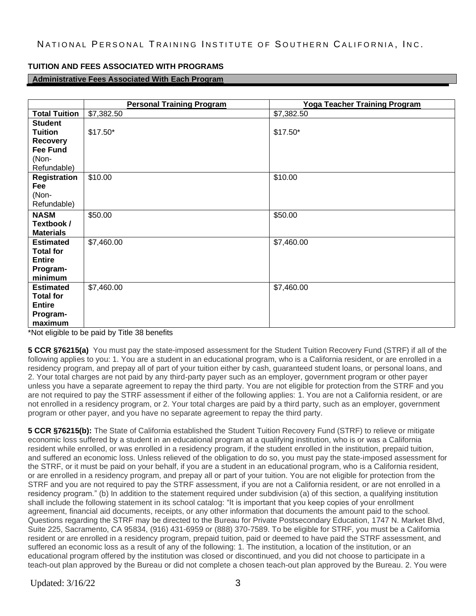## **TUITION AND FEES ASSOCIATED WITH PROGRAMS**

### **Administrative Fees Associated With Each Program**

|                      | <b>Personal Training Program</b> | <b>Yoga Teacher Training Program</b> |
|----------------------|----------------------------------|--------------------------------------|
| <b>Total Tuition</b> | \$7,382.50                       | \$7,382.50                           |
| <b>Student</b>       |                                  |                                      |
| <b>Tuition</b>       | $$17.50*$                        | $$17.50*$                            |
| <b>Recovery</b>      |                                  |                                      |
| <b>Fee Fund</b>      |                                  |                                      |
| (Non-                |                                  |                                      |
| Refundable)          |                                  |                                      |
| <b>Registration</b>  | \$10.00                          | \$10.00                              |
| Fee                  |                                  |                                      |
| (Non-                |                                  |                                      |
| Refundable)          |                                  |                                      |
| <b>NASM</b>          | \$50.00                          | \$50.00                              |
| Textbook /           |                                  |                                      |
| <b>Materials</b>     |                                  |                                      |
| <b>Estimated</b>     | \$7,460.00                       | \$7,460.00                           |
| <b>Total for</b>     |                                  |                                      |
| <b>Entire</b>        |                                  |                                      |
| Program-             |                                  |                                      |
| minimum              |                                  |                                      |
| <b>Estimated</b>     | \$7,460.00                       | \$7,460.00                           |
| <b>Total for</b>     |                                  |                                      |
| <b>Entire</b>        |                                  |                                      |
| Program-             |                                  |                                      |
| maximum              |                                  |                                      |

\*Not eligible to be paid by Title 38 benefits

**5 CCR §76215(a)** You must pay the state-imposed assessment for the Student Tuition Recovery Fund (STRF) if all of the following applies to you: 1. You are a student in an educational program, who is a California resident, or are enrolled in a residency program, and prepay all of part of your tuition either by cash, guaranteed student loans, or personal loans, and 2. Your total charges are not paid by any third-party payer such as an employer, government program or other payer unless you have a separate agreement to repay the third party. You are not eligible for protection from the STRF and you are not required to pay the STRF assessment if either of the following applies: 1. You are not a California resident, or are not enrolled in a residency program, or 2. Your total charges are paid by a third party, such as an employer, government program or other payer, and you have no separate agreement to repay the third party.

**5 CCR §76215(b):** The State of California established the Student Tuition Recovery Fund (STRF) to relieve or mitigate economic loss suffered by a student in an educational program at a qualifying institution, who is or was a California resident while enrolled, or was enrolled in a residency program, if the student enrolled in the institution, prepaid tuition, and suffered an economic loss. Unless relieved of the obligation to do so, you must pay the state-imposed assessment for the STRF, or it must be paid on your behalf, if you are a student in an educational program, who is a California resident, or are enrolled in a residency program, and prepay all or part of your tuition. You are not eligible for protection from the STRF and you are not required to pay the STRF assessment, if you are not a California resident, or are not enrolled in a residency program." (b) In addition to the statement required under subdivision (a) of this section, a qualifying institution shall include the following statement in its school catalog: "It is important that you keep copies of your enrollment agreement, financial aid documents, receipts, or any other information that documents the amount paid to the school. Questions regarding the STRF may be directed to the Bureau for Private Postsecondary Education, 1747 N. Market Blvd, Suite 225, Sacramento, CA 95834, (916) 431-6959 or (888) 370-7589. To be eligible for STRF, you must be a California resident or are enrolled in a residency program, prepaid tuition, paid or deemed to have paid the STRF assessment, and suffered an economic loss as a result of any of the following: 1. The institution, a location of the institution, or an educational program offered by the institution was closed or discontinued, and you did not choose to participate in a teach-out plan approved by the Bureau or did not complete a chosen teach-out plan approved by the Bureau. 2. You were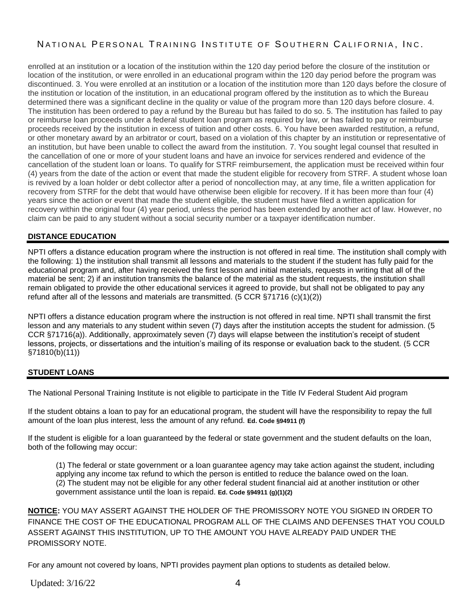enrolled at an institution or a location of the institution within the 120 day period before the closure of the institution or location of the institution, or were enrolled in an educational program within the 120 day period before the program was discontinued. 3. You were enrolled at an institution or a location of the institution more than 120 days before the closure of the institution or location of the institution, in an educational program offered by the institution as to which the Bureau determined there was a significant decline in the quality or value of the program more than 120 days before closure. 4. The institution has been ordered to pay a refund by the Bureau but has failed to do so. 5. The institution has failed to pay or reimburse loan proceeds under a federal student loan program as required by law, or has failed to pay or reimburse proceeds received by the institution in excess of tuition and other costs. 6. You have been awarded restitution, a refund, or other monetary award by an arbitrator or court, based on a violation of this chapter by an institution or representative of an institution, but have been unable to collect the award from the institution. 7. You sought legal counsel that resulted in the cancellation of one or more of your student loans and have an invoice for services rendered and evidence of the cancellation of the student loan or loans. To qualify for STRF reimbursement, the application must be received within four (4) years from the date of the action or event that made the student eligible for recovery from STRF. A student whose loan is revived by a loan holder or debt collector after a period of noncollection may, at any time, file a written application for recovery from STRF for the debt that would have otherwise been eligible for recovery. If it has been more than four (4) years since the action or event that made the student eligible, the student must have filed a written application for recovery within the original four (4) year period, unless the period has been extended by another act of law. However, no claim can be paid to any student without a social security number or a taxpayer identification number.

### **DISTANCE EDUCATION**

NPTI offers a distance education program where the instruction is not offered in real time. The institution shall comply with the following: 1) the institution shall transmit all lessons and materials to the student if the student has fully paid for the educational program and, after having received the first lesson and initial materials, requests in writing that all of the material be sent; 2) if an institution transmits the balance of the material as the student requests, the institution shall remain obligated to provide the other educational services it agreed to provide, but shall not be obligated to pay any refund after all of the lessons and materials are transmitted. (5 CCR §71716 (c)(1)(2))

NPTI offers a distance education program where the instruction is not offered in real time. NPTI shall transmit the first lesson and any materials to any student within seven (7) days after the institution accepts the student for admission. (5 CCR §71716(a)). Additionally, approximately seven (7) days will elapse between the institution's receipt of student lessons, projects, or dissertations and the intuition's mailing of its response or evaluation back to the student. (5 CCR §71810(b)(11))

#### **STUDENT LOANS**

The National Personal Training Institute is not eligible to participate in the Title IV Federal Student Aid program

If the student obtains a loan to pay for an educational program, the student will have the responsibility to repay the full amount of the loan plus interest, less the amount of any refund. **Ed. Code §94911 (f)**

If the student is eligible for a loan guaranteed by the federal or state government and the student defaults on the loan, both of the following may occur:

(1) The federal or state government or a loan guarantee agency may take action against the student, including applying any income tax refund to which the person is entitled to reduce the balance owed on the loan. (2) The student may not be eligible for any other federal student financial aid at another institution or other government assistance until the loan is repaid. **Ed. Code §94911 (g)(1)(2)**

**NOTICE:** YOU MAY ASSERT AGAINST THE HOLDER OF THE PROMISSORY NOTE YOU SIGNED IN ORDER TO FINANCE THE COST OF THE EDUCATIONAL PROGRAM ALL OF THE CLAIMS AND DEFENSES THAT YOU COULD ASSERT AGAINST THIS INSTITUTION, UP TO THE AMOUNT YOU HAVE ALREADY PAID UNDER THE PROMISSORY NOTE.

For any amount not covered by loans, NPTI provides payment plan options to students as detailed below.

Updated:  $3/16/22$  4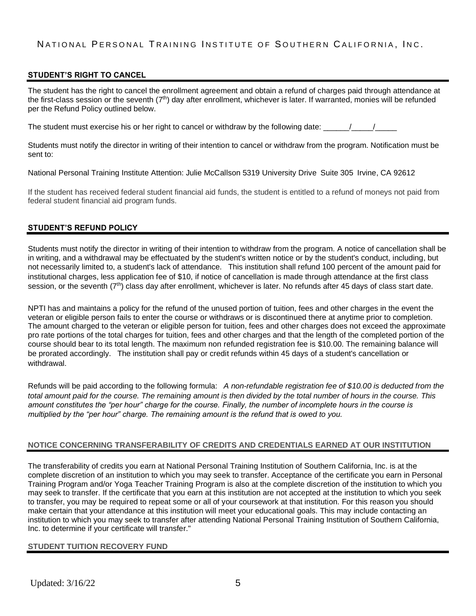### **STUDENT'S RIGHT TO CANCEL**

The student has the right to cancel the enrollment agreement and obtain a refund of charges paid through attendance at the first-class session or the seventh  $(7<sup>th</sup>)$  day after enrollment, whichever is later. If warranted, monies will be refunded per the Refund Policy outlined below.

The student must exercise his or her right to cancel or withdraw by the following date:  $\frac{1}{2}$ 

Students must notify the director in writing of their intention to cancel or withdraw from the program. Notification must be sent to:

National Personal Training Institute Attention: Julie McCallson 5319 University Drive Suite 305 Irvine, CA 92612

If the student has received federal student financial aid funds, the student is entitled to a refund of moneys not paid from federal student financial aid program funds.

#### **STUDENT'S REFUND POLICY**

Students must notify the director in writing of their intention to withdraw from the program. A notice of cancellation shall be in writing, and a withdrawal may be effectuated by the student's written notice or by the student's conduct, including, but not necessarily limited to, a student's lack of attendance. This institution shall refund 100 percent of the amount paid for institutional charges, less application fee of \$10, if notice of cancellation is made through attendance at the first class session, or the seventh (7<sup>th</sup>) class day after enrollment, whichever is later. No refunds after 45 days of class start date.

NPTI has and maintains a policy for the refund of the unused portion of tuition, fees and other charges in the event the veteran or eligible person fails to enter the course or withdraws or is discontinued there at anytime prior to completion. The amount charged to the veteran or eligible person for tuition, fees and other charges does not exceed the approximate pro rate portions of the total charges for tuition, fees and other charges and that the length of the completed portion of the course should bear to its total length. The maximum non refunded registration fee is \$10.00. The remaining balance will be prorated accordingly. The institution shall pay or credit refunds within 45 days of a student's cancellation or withdrawal.

Refunds will be paid according to the following formula: *A non-refundable registration fee of \$10.00 is deducted from the total amount paid for the course. The remaining amount is then divided by the total number of hours in the course. This amount constitutes the "per hour" charge for the course. Finally, the number of incomplete hours in the course is multiplied by the "per hour" charge. The remaining amount is the refund that is owed to you.* 

#### **NOTICE CONCERNING TRANSFERABILITY OF CREDITS AND CREDENTIALS EARNED AT OUR INSTITUTION**

The transferability of credits you earn at National Personal Training Institution of Southern California, Inc. is at the complete discretion of an institution to which you may seek to transfer. Acceptance of the certificate you earn in Personal Training Program and/or Yoga Teacher Training Program is also at the complete discretion of the institution to which you may seek to transfer. If the certificate that you earn at this institution are not accepted at the institution to which you seek to transfer, you may be required to repeat some or all of your coursework at that institution. For this reason you should make certain that your attendance at this institution will meet your educational goals. This may include contacting an institution to which you may seek to transfer after attending National Personal Training Institution of Southern California, Inc. to determine if your certificate will transfer."

#### **STUDENT TUITION RECOVERY FUND**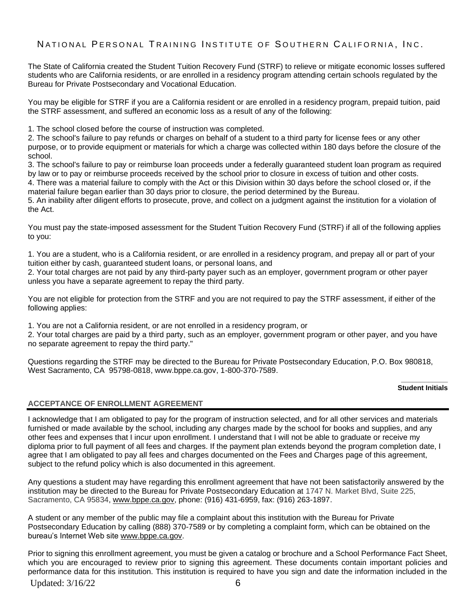The State of California created the Student Tuition Recovery Fund (STRF) to relieve or mitigate economic losses suffered students who are California residents, or are enrolled in a residency program attending certain schools regulated by the Bureau for Private Postsecondary and Vocational Education.

You may be eligible for STRF if you are a California resident or are enrolled in a residency program, prepaid tuition, paid the STRF assessment, and suffered an economic loss as a result of any of the following:

1. The school closed before the course of instruction was completed.

2. The school's failure to pay refunds or charges on behalf of a student to a third party for license fees or any other purpose, or to provide equipment or materials for which a charge was collected within 180 days before the closure of the school.

3. The school's failure to pay or reimburse loan proceeds under a federally guaranteed student loan program as required by law or to pay or reimburse proceeds received by the school prior to closure in excess of tuition and other costs.

4. There was a material failure to comply with the Act or this Division within 30 days before the school closed or, if the material failure began earlier than 30 days prior to closure, the period determined by the Bureau.

5. An inability after diligent efforts to prosecute, prove, and collect on a judgment against the institution for a violation of the Act.

You must pay the state-imposed assessment for the Student Tuition Recovery Fund (STRF) if all of the following applies to you:

1. You are a student, who is a California resident, or are enrolled in a residency program, and prepay all or part of your tuition either by cash, guaranteed student loans, or personal loans, and

2. Your total charges are not paid by any third-party payer such as an employer, government program or other payer unless you have a separate agreement to repay the third party.

You are not eligible for protection from the STRF and you are not required to pay the STRF assessment, if either of the following applies:

1. You are not a California resident, or are not enrolled in a residency program, or

2. Your total charges are paid by a third party, such as an employer, government program or other payer, and you have no separate agreement to repay the third party."

Questions regarding the STRF may be directed to the Bureau for Private Postsecondary Education, P.O. Box 980818, West Sacramento, CA 95798-0818, www.bppe.ca.gov, 1-800-370-7589.

#### **\_\_\_\_\_\_\_\_\_\_\_\_ Student Initials**

#### **ACCEPTANCE OF ENROLLMENT AGREEMENT**

I acknowledge that I am obligated to pay for the program of instruction selected, and for all other services and materials furnished or made available by the school, including any charges made by the school for books and supplies, and any other fees and expenses that I incur upon enrollment. I understand that I will not be able to graduate or receive my diploma prior to full payment of all fees and charges. If the payment plan extends beyond the program completion date, I agree that I am obligated to pay all fees and charges documented on the Fees and Charges page of this agreement, subject to the refund policy which is also documented in this agreement.

Any questions a student may have regarding this enrollment agreement that have not been satisfactorily answered by the institution may be directed to the Bureau for Private Postsecondary Education at 1747 N. Market Blvd, Suite 225, Sacramento, CA 95834, www.bppe.ca.gov, phone: (916) 431-6959, fax: (916) 263-1897.

A student or any member of the public may file a complaint about this institution with the Bureau for Private Postsecondary Education by calling (888) 370-7589 or by completing a complaint form, which can be obtained on the bureau's Internet Web site www.bppe.ca.gov.

Prior to signing this enrollment agreement, you must be given a catalog or brochure and a School Performance Fact Sheet, which you are encouraged to review prior to signing this agreement. These documents contain important policies and performance data for this institution. This institution is required to have you sign and date the information included in the